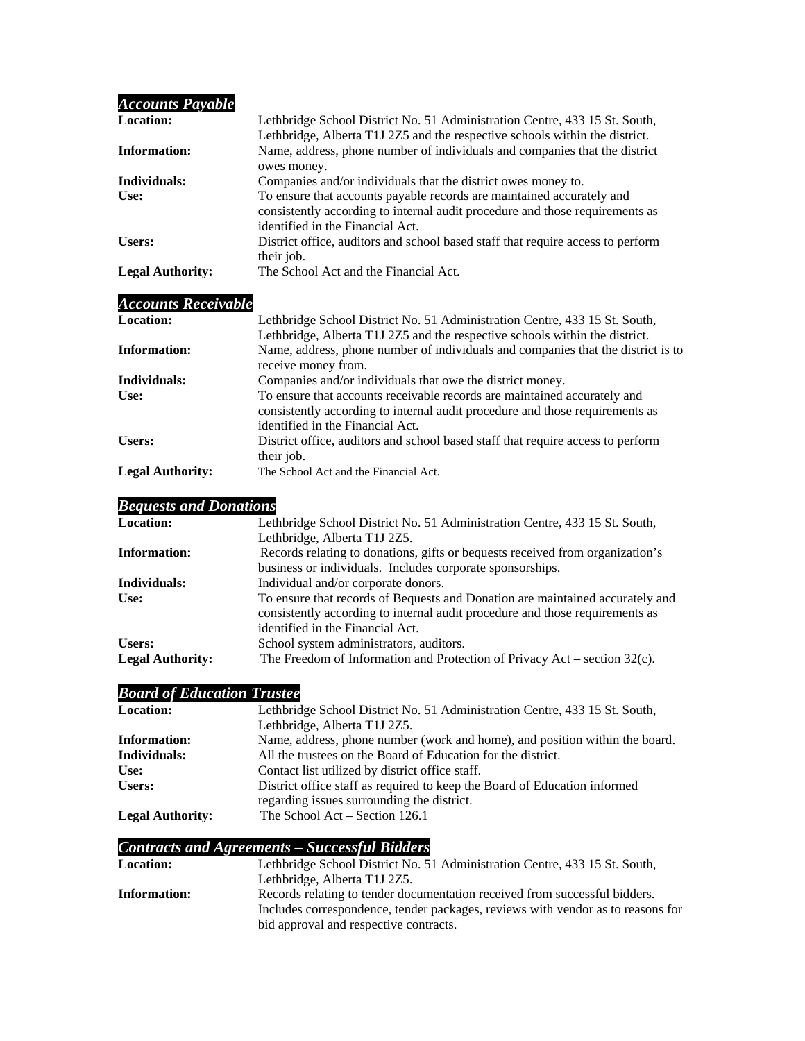| <b>Accounts Payable</b> |                                                                                                                                                                                           |
|-------------------------|-------------------------------------------------------------------------------------------------------------------------------------------------------------------------------------------|
| <b>Location:</b>        | Lethbridge School District No. 51 Administration Centre, 433 15 St. South,                                                                                                                |
|                         | Lethbridge, Alberta T1J 2Z5 and the respective schools within the district.                                                                                                               |
| Information:            | Name, address, phone number of individuals and companies that the district<br>owes money.                                                                                                 |
| Individuals:            | Companies and/or individuals that the district owes money to.                                                                                                                             |
| Use:                    | To ensure that accounts payable records are maintained accurately and<br>consistently according to internal audit procedure and those requirements as<br>identified in the Financial Act. |
| Users:                  | District office, auditors and school based staff that require access to perform<br>their job.                                                                                             |
| <b>Legal Authority:</b> | The School Act and the Financial Act.                                                                                                                                                     |

# *Accounts Receivable*

| <b>Location:</b>        | Lethbridge School District No. 51 Administration Centre, 433 15 St. South,<br>Lethbridge, Alberta T1J 2Z5 and the respective schools within the district.                                    |
|-------------------------|----------------------------------------------------------------------------------------------------------------------------------------------------------------------------------------------|
| <b>Information:</b>     | Name, address, phone number of individuals and companies that the district is to<br>receive money from.                                                                                      |
| Individuals:            | Companies and/or individuals that owe the district money.                                                                                                                                    |
| Use:                    | To ensure that accounts receivable records are maintained accurately and<br>consistently according to internal audit procedure and those requirements as<br>identified in the Financial Act. |
| Users:                  | District office, auditors and school based staff that require access to perform<br>their job.                                                                                                |
| <b>Legal Authority:</b> | The School Act and the Financial Act.                                                                                                                                                        |

# *Bequests and Donations*

| <b>Location:</b>        | Lethbridge School District No. 51 Administration Centre, 433 15 St. South,                                                                                    |
|-------------------------|---------------------------------------------------------------------------------------------------------------------------------------------------------------|
|                         | Lethbridge, Alberta T1J 2Z5.                                                                                                                                  |
| Information:            | Records relating to donations, gifts or bequests received from organization's                                                                                 |
|                         | business or individuals. Includes corporate sponsorships.                                                                                                     |
| Individuals:            | Individual and/or corporate donors.                                                                                                                           |
| Use:                    | To ensure that records of Bequests and Donation are maintained accurately and<br>consistently according to internal audit procedure and those requirements as |
|                         | identified in the Financial Act.                                                                                                                              |
| Users:                  | School system administrators, auditors.                                                                                                                       |
| <b>Legal Authority:</b> | The Freedom of Information and Protection of Privacy Act – section 32(c).                                                                                     |

# *Board of Education Trustee*

| <b>Location:</b>        | Lethbridge School District No. 51 Administration Centre, 433 15 St. South,                                              |
|-------------------------|-------------------------------------------------------------------------------------------------------------------------|
|                         | Lethbridge, Alberta T1J 2Z5.                                                                                            |
| <b>Information:</b>     | Name, address, phone number (work and home), and position within the board.                                             |
| Individuals:            | All the trustees on the Board of Education for the district.                                                            |
| Use:                    | Contact list utilized by district office staff.                                                                         |
| Users:                  | District office staff as required to keep the Board of Education informed<br>regarding issues surrounding the district. |
| <b>Legal Authority:</b> | The School $Act - Section 126.1$                                                                                        |

# *Contracts and Agreements – Successful Bidders*

| <b>Location:</b> | Lethbridge School District No. 51 Administration Centre, 433 15 St. South,      |
|------------------|---------------------------------------------------------------------------------|
|                  | Lethbridge, Alberta T1J 2Z5.                                                    |
| Information:     | Records relating to tender documentation received from successful bidders.      |
|                  | Includes correspondence, tender packages, reviews with vendor as to reasons for |
|                  | bid approval and respective contracts.                                          |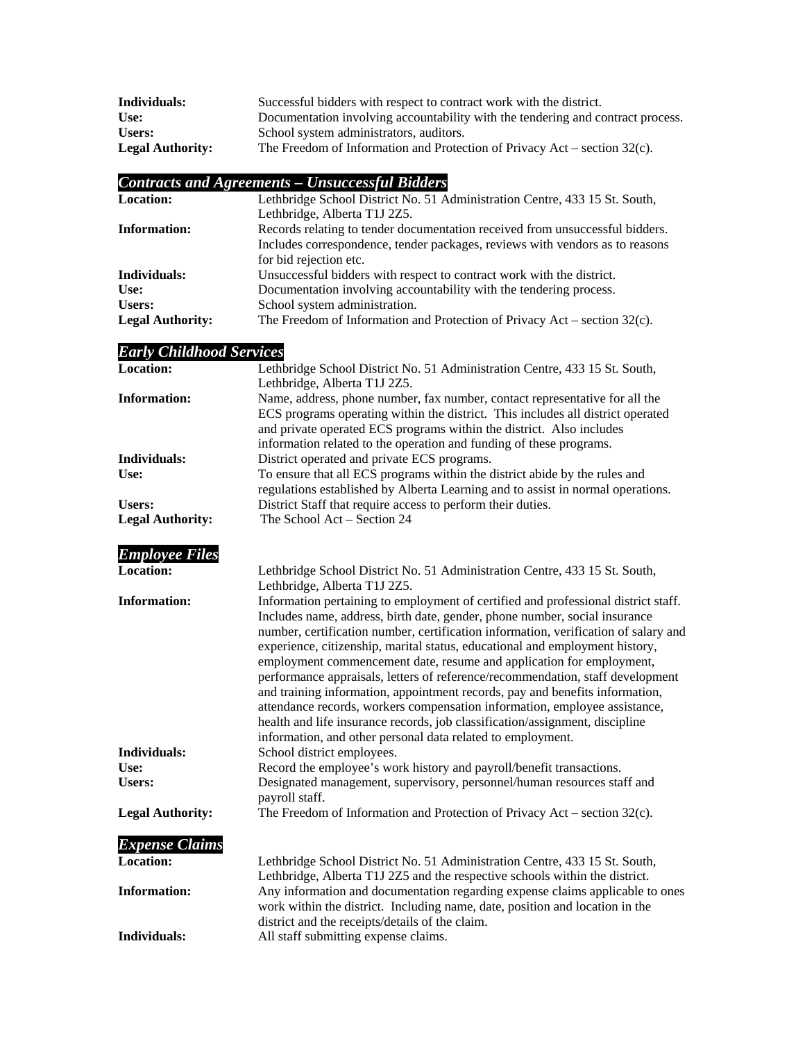| Individuals:            | Successful bidders with respect to contract work with the district.             |
|-------------------------|---------------------------------------------------------------------------------|
| Use:                    | Documentation involving accountability with the tendering and contract process. |
| Users:                  | School system administrators, auditors.                                         |
| <b>Legal Authority:</b> | The Freedom of Information and Protection of Privacy Act – section $32(c)$ .    |

# *Contracts and Agreements – Unsuccessful Bidders*

| <b>Location:</b>        | Lethbridge School District No. 51 Administration Centre, 433 15 St. South,   |
|-------------------------|------------------------------------------------------------------------------|
|                         | Lethbridge, Alberta T1J 2Z5.                                                 |
| <b>Information:</b>     | Records relating to tender documentation received from unsuccessful bidders. |
|                         | Includes correspondence, tender packages, reviews with vendors as to reasons |
|                         | for bid rejection etc.                                                       |
| Individuals:            | Unsuccessful bidders with respect to contract work with the district.        |
| Use:                    | Documentation involving accountability with the tendering process.           |
| Users:                  | School system administration.                                                |
| <b>Legal Authority:</b> | The Freedom of Information and Protection of Privacy Act – section $32(c)$ . |

### *Early Childhood Services*

| <b>Location:</b>        | Lethbridge School District No. 51 Administration Centre, 433 15 St. South,                                                                                                                                                                                                                                                                                                                                                                                                                                                                                                                                                                                                                                                                                                                                     |
|-------------------------|----------------------------------------------------------------------------------------------------------------------------------------------------------------------------------------------------------------------------------------------------------------------------------------------------------------------------------------------------------------------------------------------------------------------------------------------------------------------------------------------------------------------------------------------------------------------------------------------------------------------------------------------------------------------------------------------------------------------------------------------------------------------------------------------------------------|
| <b>Information:</b>     | Lethbridge, Alberta T1J 2Z5.<br>Name, address, phone number, fax number, contact representative for all the<br>ECS programs operating within the district. This includes all district operated<br>and private operated ECS programs within the district. Also includes<br>information related to the operation and funding of these programs.                                                                                                                                                                                                                                                                                                                                                                                                                                                                  |
| Individuals:            | District operated and private ECS programs.                                                                                                                                                                                                                                                                                                                                                                                                                                                                                                                                                                                                                                                                                                                                                                    |
| Use:                    | To ensure that all ECS programs within the district abide by the rules and<br>regulations established by Alberta Learning and to assist in normal operations.                                                                                                                                                                                                                                                                                                                                                                                                                                                                                                                                                                                                                                                  |
| Users:                  | District Staff that require access to perform their duties.                                                                                                                                                                                                                                                                                                                                                                                                                                                                                                                                                                                                                                                                                                                                                    |
| <b>Legal Authority:</b> | The School Act - Section 24                                                                                                                                                                                                                                                                                                                                                                                                                                                                                                                                                                                                                                                                                                                                                                                    |
| <b>Employee Files</b>   |                                                                                                                                                                                                                                                                                                                                                                                                                                                                                                                                                                                                                                                                                                                                                                                                                |
| <b>Location:</b>        | Lethbridge School District No. 51 Administration Centre, 433 15 St. South,<br>Lethbridge, Alberta T1J 2Z5.                                                                                                                                                                                                                                                                                                                                                                                                                                                                                                                                                                                                                                                                                                     |
| <b>Information:</b>     | Information pertaining to employment of certified and professional district staff.<br>Includes name, address, birth date, gender, phone number, social insurance<br>number, certification number, certification information, verification of salary and<br>experience, citizenship, marital status, educational and employment history,<br>employment commencement date, resume and application for employment,<br>performance appraisals, letters of reference/recommendation, staff development<br>and training information, appointment records, pay and benefits information,<br>attendance records, workers compensation information, employee assistance,<br>health and life insurance records, job classification/assignment, discipline<br>information, and other personal data related to employment. |
| Individuals:            | School district employees.                                                                                                                                                                                                                                                                                                                                                                                                                                                                                                                                                                                                                                                                                                                                                                                     |
| Use:                    | Record the employee's work history and payroll/benefit transactions.                                                                                                                                                                                                                                                                                                                                                                                                                                                                                                                                                                                                                                                                                                                                           |
| <b>Users:</b>           | Designated management, supervisory, personnel/human resources staff and<br>payroll staff.                                                                                                                                                                                                                                                                                                                                                                                                                                                                                                                                                                                                                                                                                                                      |
| <b>Legal Authority:</b> | The Freedom of Information and Protection of Privacy Act – section 32(c).                                                                                                                                                                                                                                                                                                                                                                                                                                                                                                                                                                                                                                                                                                                                      |
| <b>Expense Claims</b>   |                                                                                                                                                                                                                                                                                                                                                                                                                                                                                                                                                                                                                                                                                                                                                                                                                |
| <b>Location:</b>        | Lethbridge School District No. 51 Administration Centre, 433 15 St. South,<br>Lethbridge, Alberta T1J 2Z5 and the respective schools within the district.                                                                                                                                                                                                                                                                                                                                                                                                                                                                                                                                                                                                                                                      |
| <b>Information:</b>     | Any information and documentation regarding expense claims applicable to ones<br>work within the district. Including name, date, position and location in the<br>district and the receipts/details of the claim.                                                                                                                                                                                                                                                                                                                                                                                                                                                                                                                                                                                               |

**Individuals:** All staff submitting expense claims.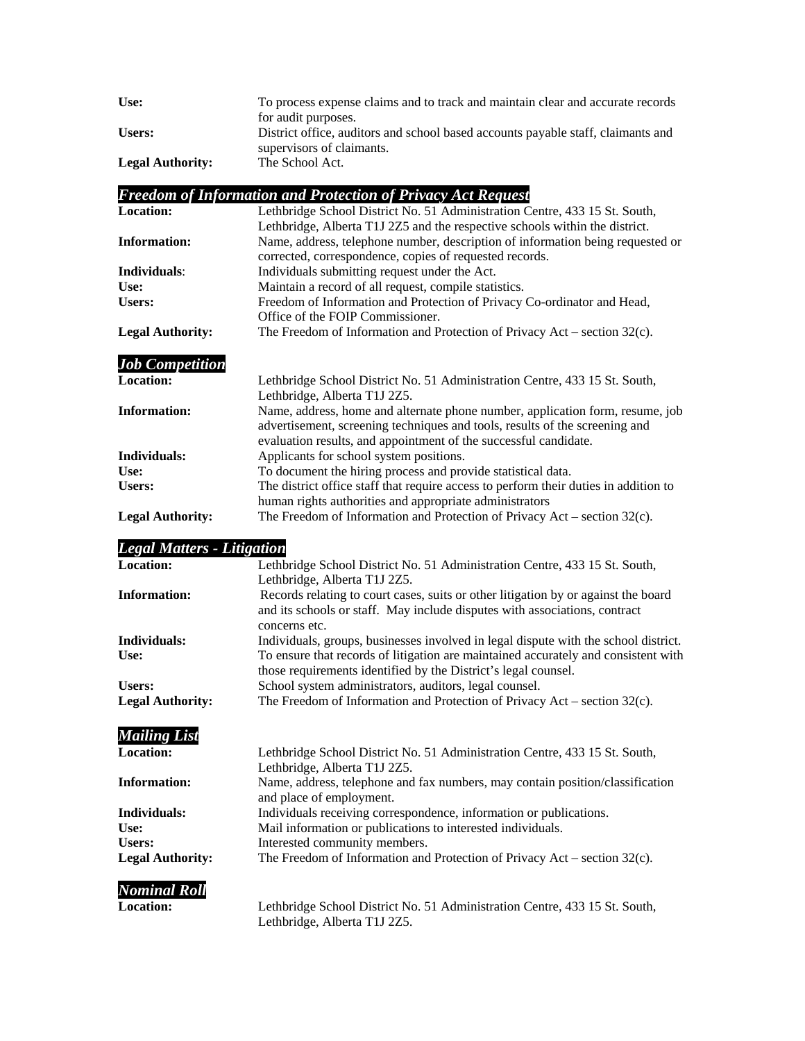| Use:                    | To process expense claims and to track and maintain clear and accurate records   |
|-------------------------|----------------------------------------------------------------------------------|
|                         | for audit purposes.                                                              |
| Users:                  | District office, auditors and school based accounts payable staff, claimants and |
|                         | supervisors of claimants.                                                        |
| <b>Legal Authority:</b> | The School Act.                                                                  |

# *Freedom of Information and Protection of Privacy Act Request*

| <b>Location:</b>        | Lethbridge School District No. 51 Administration Centre, 433 15 St. South,                                                                                                                                                       |
|-------------------------|----------------------------------------------------------------------------------------------------------------------------------------------------------------------------------------------------------------------------------|
|                         | Lethbridge, Alberta T1J 2Z5 and the respective schools within the district.                                                                                                                                                      |
| <b>Information:</b>     | Name, address, telephone number, description of information being requested or                                                                                                                                                   |
|                         | corrected, correspondence, copies of requested records.                                                                                                                                                                          |
| Individuals:            | Individuals submitting request under the Act.                                                                                                                                                                                    |
| Use:                    | Maintain a record of all request, compile statistics.                                                                                                                                                                            |
| <b>Users:</b>           | Freedom of Information and Protection of Privacy Co-ordinator and Head,                                                                                                                                                          |
|                         | Office of the FOIP Commissioner.                                                                                                                                                                                                 |
| <b>Legal Authority:</b> | The Freedom of Information and Protection of Privacy Act – section 32(c).                                                                                                                                                        |
| <b>Job Competition</b>  |                                                                                                                                                                                                                                  |
| <b>Location:</b>        | Lethbridge School District No. 51 Administration Centre, 433 15 St. South,                                                                                                                                                       |
|                         | Lethbridge, Alberta T1J 2Z5.                                                                                                                                                                                                     |
| <b>Information:</b>     | Name, address, home and alternate phone number, application form, resume, job<br>advertisement, screening techniques and tools, results of the screening and<br>evaluation results, and appointment of the successful candidate. |
| Individuals:            | Applicants for school system positions.                                                                                                                                                                                          |
| Use:                    | To document the hiring process and provide statistical data.                                                                                                                                                                     |
| Users:                  | The district office staff that require access to perform their duties in addition to                                                                                                                                             |
|                         | human rights authorities and appropriate administrators                                                                                                                                                                          |
| <b>Legal Authority:</b> | The Freedom of Information and Protection of Privacy Act – section 32(c).                                                                                                                                                        |

#### *Legal Matters - Litigation*

| <b>Location:</b>        | Lethbridge School District No. 51 Administration Centre, 433 15 St. South,          |
|-------------------------|-------------------------------------------------------------------------------------|
|                         | Lethbridge, Alberta T1J 2Z5.                                                        |
| <b>Information:</b>     | Records relating to court cases, suits or other litigation by or against the board  |
|                         | and its schools or staff. May include disputes with associations, contract          |
|                         | concerns etc.                                                                       |
| Individuals:            | Individuals, groups, businesses involved in legal dispute with the school district. |
| Use:                    | To ensure that records of litigation are maintained accurately and consistent with  |
|                         | those requirements identified by the District's legal counsel.                      |
| <b>Users:</b>           | School system administrators, auditors, legal counsel.                              |
| <b>Legal Authority:</b> | The Freedom of Information and Protection of Privacy Act – section $32(c)$ .        |
| <b>Mailing List</b>     |                                                                                     |
| <b>Location:</b>        | Lethbridge School District No. 51 Administration Centre, 433 15 St. South,          |
|                         | Lethbridge, Alberta T1J 2Z5.                                                        |
|                         |                                                                                     |

**Information:** Name, address, telephone and fax numbers, may contain position/classification and place of employment. **Individuals:** Individuals receiving correspondence, information or publications. **Use:** Mail information or publications to interested individuals. Users: Interested community members. **Legal Authority:** The Freedom of Information and Protection of Privacy Act – section 32(c).

#### *Nominal Roll*

**Location:** Lethbridge School District No. 51 Administration Centre, 433 15 St. South, Lethbridge, Alberta T1J 2Z5.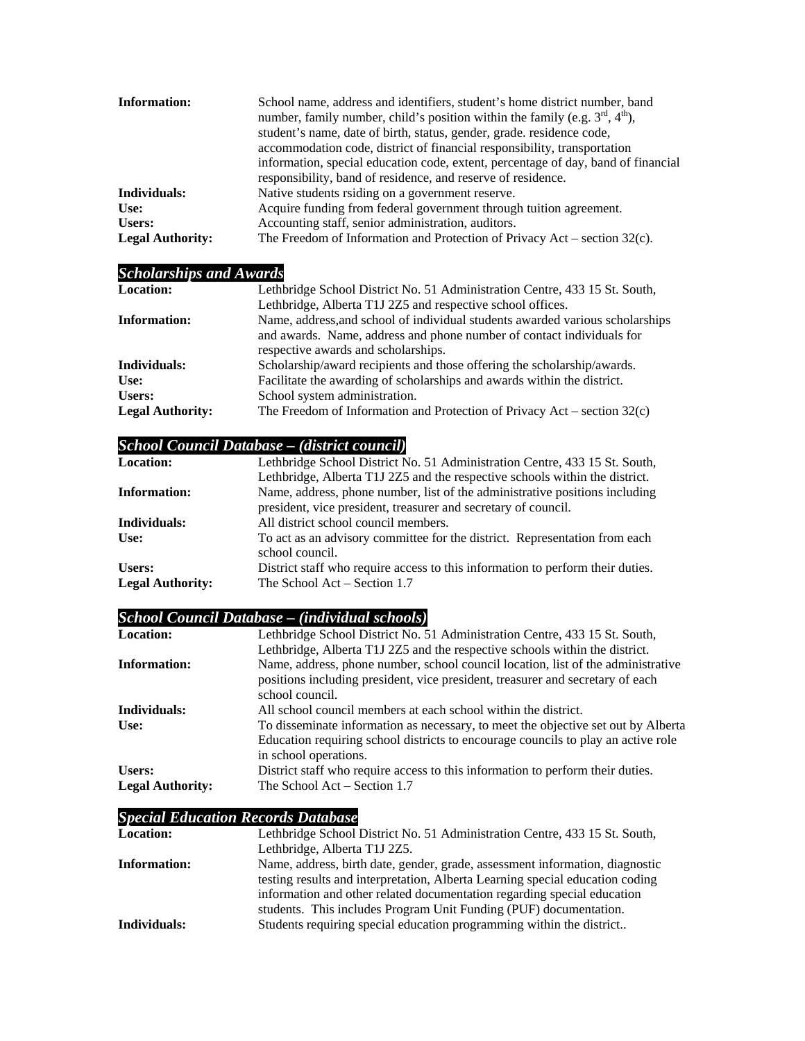| Information:            | School name, address and identifiers, student's home district number, band<br>number, family number, child's position within the family (e.g. $3^{\text{rd}}$ , $4^{\text{th}}$ ),<br>student's name, date of birth, status, gender, grade. residence code,<br>accommodation code, district of financial responsibility, transportation<br>information, special education code, extent, percentage of day, band of financial<br>responsibility, band of residence, and reserve of residence. |
|-------------------------|----------------------------------------------------------------------------------------------------------------------------------------------------------------------------------------------------------------------------------------------------------------------------------------------------------------------------------------------------------------------------------------------------------------------------------------------------------------------------------------------|
| Individuals:            | Native students rsiding on a government reserve.                                                                                                                                                                                                                                                                                                                                                                                                                                             |
| Use:                    | Acquire funding from federal government through tuition agreement.                                                                                                                                                                                                                                                                                                                                                                                                                           |
| Users:                  | Accounting staff, senior administration, auditors.                                                                                                                                                                                                                                                                                                                                                                                                                                           |
| <b>Legal Authority:</b> | The Freedom of Information and Protection of Privacy Act – section $32(c)$ .                                                                                                                                                                                                                                                                                                                                                                                                                 |

# *Scholarships and Awards*

| <b>Location:</b>        | Lethbridge School District No. 51 Administration Centre, 433 15 St. South,    |
|-------------------------|-------------------------------------------------------------------------------|
|                         | Lethbridge, Alberta T1J 2Z5 and respective school offices.                    |
| <b>Information:</b>     | Name, address, and school of individual students awarded various scholarships |
|                         | and awards. Name, address and phone number of contact individuals for         |
|                         | respective awards and scholarships.                                           |
| Individuals:            | Scholarship/award recipients and those offering the scholarship/awards.       |
| Use:                    | Facilitate the awarding of scholarships and awards within the district.       |
| <b>Users:</b>           | School system administration.                                                 |
| <b>Legal Authority:</b> | The Freedom of Information and Protection of Privacy Act – section $32(c)$    |

# *School Council Database – (district council)*

| <b>Location:</b>        | Lethbridge School District No. 51 Administration Centre, 433 15 St. South,                    |
|-------------------------|-----------------------------------------------------------------------------------------------|
|                         | Lethbridge, Alberta T1J 2Z5 and the respective schools within the district.                   |
| Information:            | Name, address, phone number, list of the administrative positions including                   |
|                         | president, vice president, treasurer and secretary of council.                                |
| Individuals:            | All district school council members.                                                          |
| Use:                    | To act as an advisory committee for the district. Representation from each<br>school council. |
| Users:                  | District staff who require access to this information to perform their duties.                |
| <b>Legal Authority:</b> | The School Act – Section 1.7                                                                  |

# *School Council Database – (individual schools)*

| <b>Location:</b>        | Lethbridge School District No. 51 Administration Centre, 433 15 St. South,        |
|-------------------------|-----------------------------------------------------------------------------------|
|                         | Lethbridge, Alberta T1J 2Z5 and the respective schools within the district.       |
| Information:            | Name, address, phone number, school council location, list of the administrative  |
|                         | positions including president, vice president, treasurer and secretary of each    |
|                         | school council.                                                                   |
| Individuals:            | All school council members at each school within the district.                    |
| Use:                    | To disseminate information as necessary, to meet the objective set out by Alberta |
|                         | Education requiring school districts to encourage councils to play an active role |
|                         | in school operations.                                                             |
| Users:                  | District staff who require access to this information to perform their duties.    |
| <b>Legal Authority:</b> | The School Act – Section 1.7                                                      |

# *Special Education Records Database*

| <b>Location:</b>    | Lethbridge School District No. 51 Administration Centre, 433 15 St. South,    |
|---------------------|-------------------------------------------------------------------------------|
|                     | Lethbridge, Alberta T1J 2Z5.                                                  |
| <b>Information:</b> | Name, address, birth date, gender, grade, assessment information, diagnostic  |
|                     | testing results and interpretation, Alberta Learning special education coding |
|                     | information and other related documentation regarding special education       |
|                     | students. This includes Program Unit Funding (PUF) documentation.             |
| Individuals:        | Students requiring special education programming within the district          |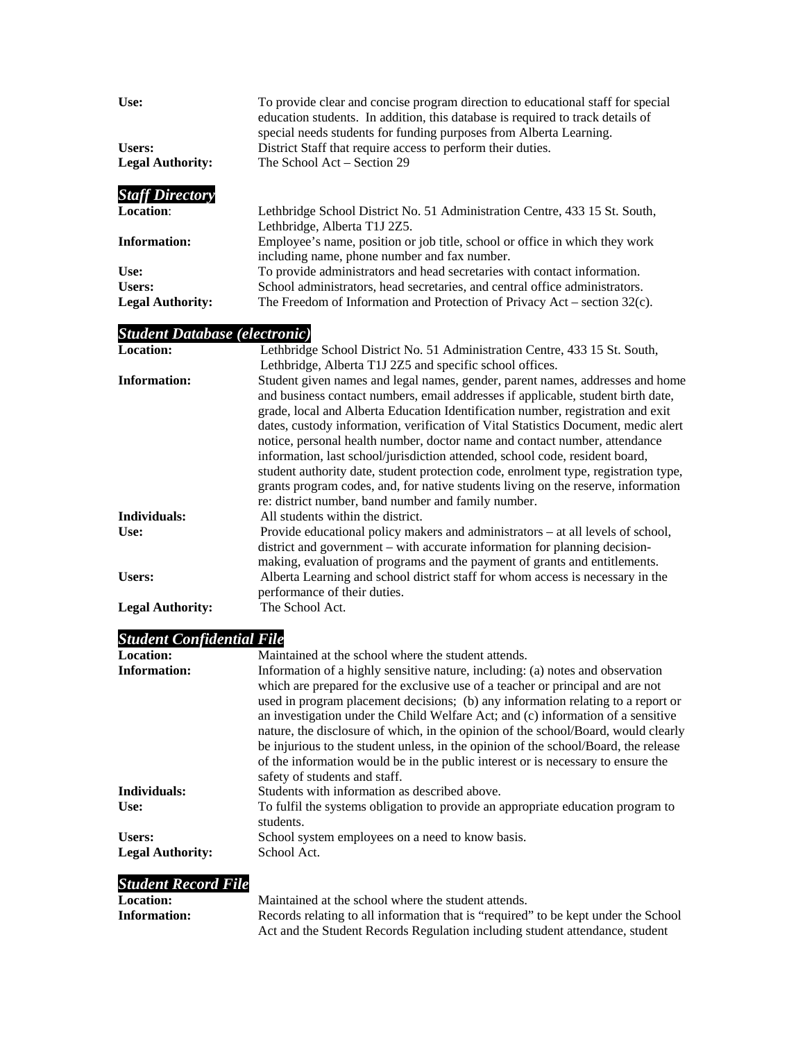| Use:                                 | To provide clear and concise program direction to educational staff for special<br>education students. In addition, this database is required to track details of                                                                                                                                                                                                                                                                                                                   |
|--------------------------------------|-------------------------------------------------------------------------------------------------------------------------------------------------------------------------------------------------------------------------------------------------------------------------------------------------------------------------------------------------------------------------------------------------------------------------------------------------------------------------------------|
|                                      | special needs students for funding purposes from Alberta Learning.                                                                                                                                                                                                                                                                                                                                                                                                                  |
| Users:                               | District Staff that require access to perform their duties.                                                                                                                                                                                                                                                                                                                                                                                                                         |
| <b>Legal Authority:</b>              | The School Act - Section 29                                                                                                                                                                                                                                                                                                                                                                                                                                                         |
| <b>Staff Directory</b>               |                                                                                                                                                                                                                                                                                                                                                                                                                                                                                     |
| Location:                            | Lethbridge School District No. 51 Administration Centre, 433 15 St. South,                                                                                                                                                                                                                                                                                                                                                                                                          |
|                                      | Lethbridge, Alberta T1J 2Z5.                                                                                                                                                                                                                                                                                                                                                                                                                                                        |
| <b>Information:</b>                  |                                                                                                                                                                                                                                                                                                                                                                                                                                                                                     |
|                                      | Employee's name, position or job title, school or office in which they work                                                                                                                                                                                                                                                                                                                                                                                                         |
|                                      | including name, phone number and fax number.                                                                                                                                                                                                                                                                                                                                                                                                                                        |
| Use:                                 | To provide administrators and head secretaries with contact information.                                                                                                                                                                                                                                                                                                                                                                                                            |
| <b>Users:</b>                        | School administrators, head secretaries, and central office administrators.                                                                                                                                                                                                                                                                                                                                                                                                         |
| <b>Legal Authority:</b>              | The Freedom of Information and Protection of Privacy Act – section $32(c)$ .                                                                                                                                                                                                                                                                                                                                                                                                        |
| <b>Student Database (electronic)</b> |                                                                                                                                                                                                                                                                                                                                                                                                                                                                                     |
| <b>Location:</b>                     | Lethbridge School District No. 51 Administration Centre, 433 15 St. South,                                                                                                                                                                                                                                                                                                                                                                                                          |
|                                      | Lethbridge, Alberta T1J 2Z5 and specific school offices.                                                                                                                                                                                                                                                                                                                                                                                                                            |
|                                      |                                                                                                                                                                                                                                                                                                                                                                                                                                                                                     |
| <b>Information:</b>                  | Student given names and legal names, gender, parent names, addresses and home<br>and business contact numbers, email addresses if applicable, student birth date,<br>grade, local and Alberta Education Identification number, registration and exit                                                                                                                                                                                                                                |
|                                      | dates, custody information, verification of Vital Statistics Document, medic alert<br>notice, personal health number, doctor name and contact number, attendance<br>information, last school/jurisdiction attended, school code, resident board,<br>student authority date, student protection code, enrolment type, registration type,<br>grants program codes, and, for native students living on the reserve, information<br>re: district number, band number and family number. |
| Individuals:                         | All students within the district.                                                                                                                                                                                                                                                                                                                                                                                                                                                   |
| Use:                                 | Provide educational policy makers and administrators - at all levels of school,<br>district and government – with accurate information for planning decision-                                                                                                                                                                                                                                                                                                                       |
|                                      | making, evaluation of programs and the payment of grants and entitlements.                                                                                                                                                                                                                                                                                                                                                                                                          |
| Users:                               | Alberta Learning and school district staff for whom access is necessary in the                                                                                                                                                                                                                                                                                                                                                                                                      |
|                                      | performance of their duties.                                                                                                                                                                                                                                                                                                                                                                                                                                                        |
| <b>Legal Authority:</b>              | The School Act.                                                                                                                                                                                                                                                                                                                                                                                                                                                                     |
| <b>Student Confidential File</b>     |                                                                                                                                                                                                                                                                                                                                                                                                                                                                                     |
| <b>Location:</b>                     | Maintained at the school where the student attends.                                                                                                                                                                                                                                                                                                                                                                                                                                 |
| <b>Information:</b>                  | Information of a highly sensitive nature, including: (a) notes and observation                                                                                                                                                                                                                                                                                                                                                                                                      |
|                                      | which are prepared for the exclusive use of a teacher or principal and are not                                                                                                                                                                                                                                                                                                                                                                                                      |
|                                      | used in program placement decisions; (b) any information relating to a report or                                                                                                                                                                                                                                                                                                                                                                                                    |
|                                      | an investigation under the Child Welfare Act; and (c) information of a sensitive                                                                                                                                                                                                                                                                                                                                                                                                    |
|                                      |                                                                                                                                                                                                                                                                                                                                                                                                                                                                                     |
|                                      | nature, the disclosure of which, in the opinion of the school/Board, would clearly                                                                                                                                                                                                                                                                                                                                                                                                  |

|              | of the information would be in the public interest or is necessary to ensure the |
|--------------|----------------------------------------------------------------------------------|
|              | safety of students and staff.                                                    |
| Individuals: | Students with information as described above.                                    |
| Use:         | To fulfil the systems obligation to provide an appropriate education program to  |
|              | students.                                                                        |

|                         | students.                                        |
|-------------------------|--------------------------------------------------|
| Users:                  | School system employees on a need to know basis. |
| <b>Legal Authority:</b> | School Act.                                      |

#### *Student Record File*

| <b>Location:</b>    | Maintained at the school where the student attends.                                |
|---------------------|------------------------------------------------------------------------------------|
| <b>Information:</b> | Records relating to all information that is "required" to be kept under the School |
|                     | Act and the Student Records Regulation including student attendance, student       |

be injurious to the student unless, in the opinion of the school/Board, the release